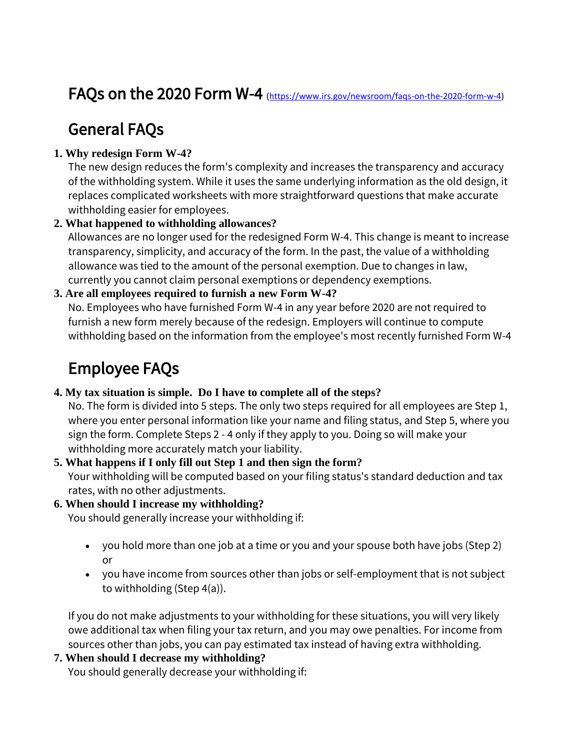## FAQs on the 2020 Form W-4 [\(https://www.irs.gov/newsroom/faqs-on-the-2020-form-w-4\)](https://www.irs.gov/newsroom/faqs-on-the-2020-form-w-4)

## General FAQs

## **[1. Why redesign Form W-4?](https://www.irs.gov/newsroom/faqs-on-the-2020-form-w-4#collapseCollapsible1576258062124)**

The new design reduces the form's complexity and increases the transparency and accuracy of the withholding system. While it uses the same underlying information as the old design, it replaces complicated worksheets with more straightforward questions that make accurate withholding easier for employees.

### **2. [What happened to withholding allowances?](https://www.irs.gov/newsroom/faqs-on-the-2020-form-w-4#collapseCollapsible1576258062119)**

Allowances are no longer used for the redesigned Form W-4. This change is meant to increase transparency, simplicity, and accuracy of the form. In the past, the value of a withholding allowance was tied to the amount of the personal exemption. Due to changes in law, currently you cannot claim personal exemptions or dependency exemptions.

### **[3. Are all employees required to furnish a new Form W-4?](https://www.irs.gov/newsroom/faqs-on-the-2020-form-w-4#collapseCollapsible1576258062112)**

No. Employees who have furnished Form W-4 in any year before 2020 are not required to furnish a new form merely because of the redesign. Employers will continue to compute withholding based on the information from the employee's most recently furnished Form W-4

## Employee FAQs

## **4. My tax situation is simple. [Do I have to complete all of the steps?](https://www.irs.gov/newsroom/faqs-on-the-2020-form-w-4#collapseCollapsible1576258062104)**

No. The form is divided into 5 steps. The only two steps required for all employees are Step 1, where you enter personal information like your name and filing status, and Step 5, where you sign the form. Complete Steps 2 - 4 only if they apply to you. Doing so will make your withholding more accurately match your liability.

#### **[5. What happens if I only fill out Step 1 and then sign the form?](https://www.irs.gov/newsroom/faqs-on-the-2020-form-w-4#collapseCollapsible1576258062099)** Your withholding will be computed based on your filing status's standard deduction and tax rates, with no other adjustments.

## **[6. When should I increase my withholding?](https://www.irs.gov/newsroom/faqs-on-the-2020-form-w-4#collapseCollapsible1576258062094)**

You should generally increase your withholding if:

- you hold more than one job at a time or you and your spouse both have jobs (Step 2) or
- you have income from sources other than jobs or self-employment that is not subject to withholding (Step 4(a)).

If you do not make adjustments to your withholding for these situations, you will very likely owe additional tax when filing your tax return, and you may owe penalties. For income from sources other than jobs, you can pay estimated tax instead of having extra withholding.

## **[7. When should I decrease my withholding?](https://www.irs.gov/newsroom/faqs-on-the-2020-form-w-4#collapseCollapsible1576258062090)**

You should generally decrease your withholding if: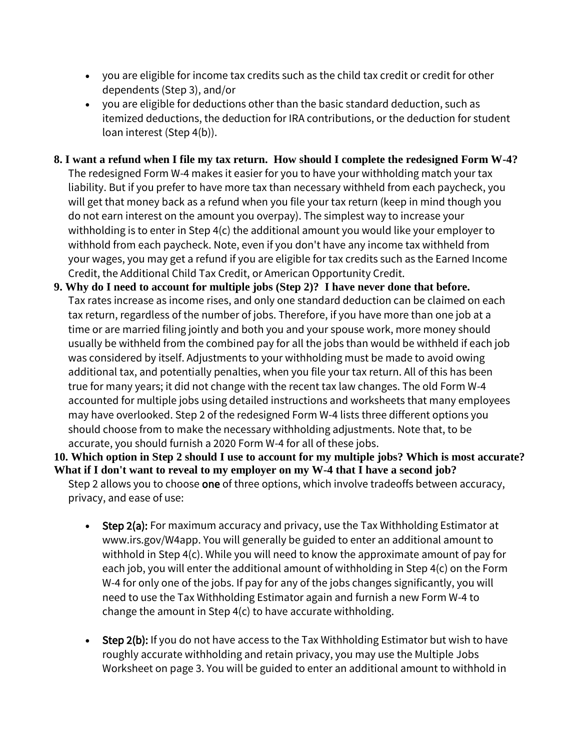- you are eligible for income tax credits such as the child tax credit or credit for other dependents (Step 3), and/or
- you are eligible for deductions other than the basic standard deduction, such as itemized deductions, the deduction for IRA contributions, or the deduction for student loan interest (Step 4(b)).
- **8. I want a refund when I file my tax return. [How should I complete the redesigned Form W-4?](https://www.irs.gov/newsroom/faqs-on-the-2020-form-w-4#collapseCollapsible1576258062087)** The redesigned Form W-4 makes it easier for you to have your withholding match your tax liability. But if you prefer to have more tax than necessary withheld from each paycheck, you will get that money back as a refund when you file your tax return (keep in mind though you do not earn interest on the amount you overpay). The simplest way to increase your withholding is to enter in Step 4(c) the additional amount you would like your employer to withhold from each paycheck. Note, even if you don't have any income tax withheld from your wages, you may get a refund if you are eligible for tax credits such as the Earned Income Credit, the Additional Child Tax Credit, or American Opportunity Credit.
- **[9. Why do I need to account for multiple jobs \(Step 2\)?](https://www.irs.gov/newsroom/faqs-on-the-2020-form-w-4#collapseCollapsible1576258062083) I have never done that before.** Tax rates increase as income rises, and only one standard deduction can be claimed on each tax return, regardless of the number of jobs. Therefore, if you have more than one job at a time or are married filing jointly and both you and your spouse work, more money should usually be withheld from the combined pay for all the jobs than would be withheld if each job was considered by itself. Adjustments to your withholding must be made to avoid owing additional tax, and potentially penalties, when you file your tax return. All of this has been true for many years; it did not change with the recent tax law changes. The old Form W-4 accounted for multiple jobs using detailed instructions and worksheets that many employees may have overlooked. Step 2 of the redesigned Form W-4 lists three different options you should choose from to make the necessary withholding adjustments. Note that, to be accurate, you should furnish a 2020 Form W-4 for all of these jobs.

**[10. Which option in Step 2 should I use to account for my multiple jobs? Which is most accurate?](https://www.irs.gov/newsroom/faqs-on-the-2020-form-w-4#collapseCollapsible1576258062078)  [What if I don't want to reveal to my employer on my W-4 that I have a second job?](https://www.irs.gov/newsroom/faqs-on-the-2020-form-w-4#collapseCollapsible1576258062078)** Step 2 allows you to choose one of three options, which involve tradeoffs between accuracy,

- privacy, and ease of use:
	- Step 2(a): For maximum accuracy and privacy, use the Tax Withholding Estimator at www.irs.gov/W4app. You will generally be guided to enter an additional amount to withhold in Step 4(c). While you will need to know the approximate amount of pay for each job, you will enter the additional amount of withholding in Step 4(c) on the Form W-4 for only one of the jobs. If pay for any of the jobs changes significantly, you will need to use the Tax Withholding Estimator again and furnish a new Form W-4 to change the amount in Step 4(c) to have accurate withholding.
	- Step 2(b): If you do not have access to the Tax Withholding Estimator but wish to have roughly accurate withholding and retain privacy, you may use the Multiple Jobs Worksheet on page 3. You will be guided to enter an additional amount to withhold in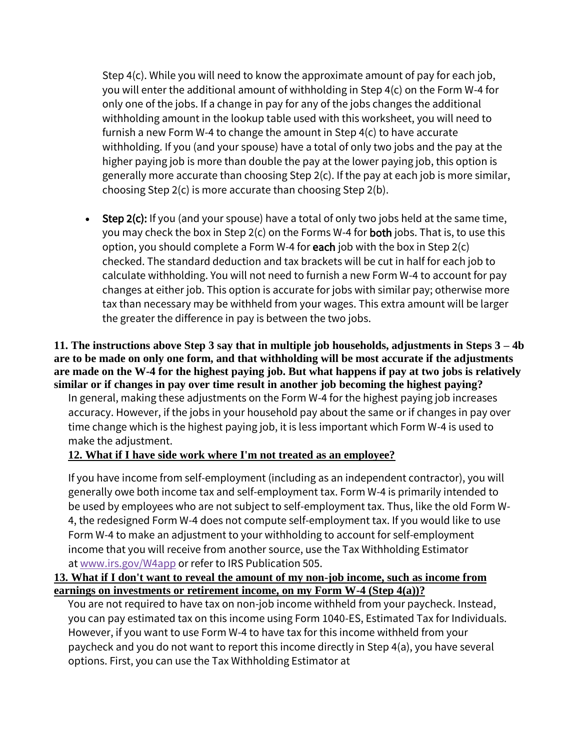Step 4(c). While you will need to know the approximate amount of pay for each job, you will enter the additional amount of withholding in Step 4(c) on the Form W-4 for only one of the jobs. If a change in pay for any of the jobs changes the additional withholding amount in the lookup table used with this worksheet, you will need to furnish a new Form W-4 to change the amount in Step 4(c) to have accurate withholding. If you (and your spouse) have a total of only two jobs and the pay at the higher paying job is more than double the pay at the lower paying job, this option is generally more accurate than choosing Step 2(c). If the pay at each job is more similar, choosing Step 2(c) is more accurate than choosing Step 2(b).

Step 2(c): If you (and your spouse) have a total of only two jobs held at the same time, you may check the box in Step 2(c) on the Forms W-4 for both jobs. That is, to use this option, you should complete a Form W-4 for each job with the box in Step  $2(c)$ checked. The standard deduction and tax brackets will be cut in half for each job to calculate withholding. You will not need to furnish a new Form W-4 to account for pay changes at either job. This option is accurate for jobs with similar pay; otherwise more tax than necessary may be withheld from your wages. This extra amount will be larger the greater the difference in pay is between the two jobs.

#### **[11. The instructions above Step 3 say that in multiple job households, adjustments in Steps 3 –](https://www.irs.gov/newsroom/faqs-on-the-2020-form-w-4#collapseCollapsible1576258062072) 4b [are to be made on only one form, and that withholding will be most accurate if the adjustments](https://www.irs.gov/newsroom/faqs-on-the-2020-form-w-4#collapseCollapsible1576258062072)  [are made on the W-4 for the highest paying job. But what happens if pay at two jobs is relatively](https://www.irs.gov/newsroom/faqs-on-the-2020-form-w-4#collapseCollapsible1576258062072)  [similar or if changes in pay over time result in another job becoming the highest paying?](https://www.irs.gov/newsroom/faqs-on-the-2020-form-w-4#collapseCollapsible1576258062072)**

In general, making these adjustments on the Form W-4 for the highest paying job increases accuracy. However, if the jobs in your household pay about the same or if changes in pay over time change which is the highest paying job, it is less important which Form W-4 is used to make the adjustment[.](https://www.irs.gov/newsroom/faqs-on-the-2020-form-w-4#collapseCollapsible1576258062069)

#### **[12. What if I have side work where I'm not treated as an employee?](https://www.irs.gov/newsroom/faqs-on-the-2020-form-w-4#collapseCollapsible1576258062069)**

If you have income from self-employment (including as an independent contractor), you will generally owe both income tax and self-employment tax. Form W-4 is primarily intended to be used by employees who are not subject to self-employment tax. Thus, like the old Form W-4, the redesigned Form W-4 does not compute self-employment tax. If you would like to use Form W-4 to make an adjustment to your withholding to account for self-employment income that you will receive from another source, use the Tax Withholding Estimator at [www.irs.gov/W4app](https://www.irs.gov/individuals/tax-withholding-estimator) or refer to IRS Publication 505.

#### **[13. What if I don't want to reveal the amount of my non-job income, such as income from](https://www.irs.gov/newsroom/faqs-on-the-2020-form-w-4#collapseCollapsible1576258062063)  [earnings on investments or retirement income, on my Form W-4 \(Step 4\(a\)\)?](https://www.irs.gov/newsroom/faqs-on-the-2020-form-w-4#collapseCollapsible1576258062063)**

You are not required to have tax on non-job income withheld from your paycheck. Instead, you can pay estimated tax on this income using Form 1040-ES, Estimated Tax for Individuals. However, if you want to use Form W-4 to have tax for this income withheld from your paycheck and you do not want to report this income directly in Step 4(a), you have several options. First, you can use the Tax Withholding Estimator at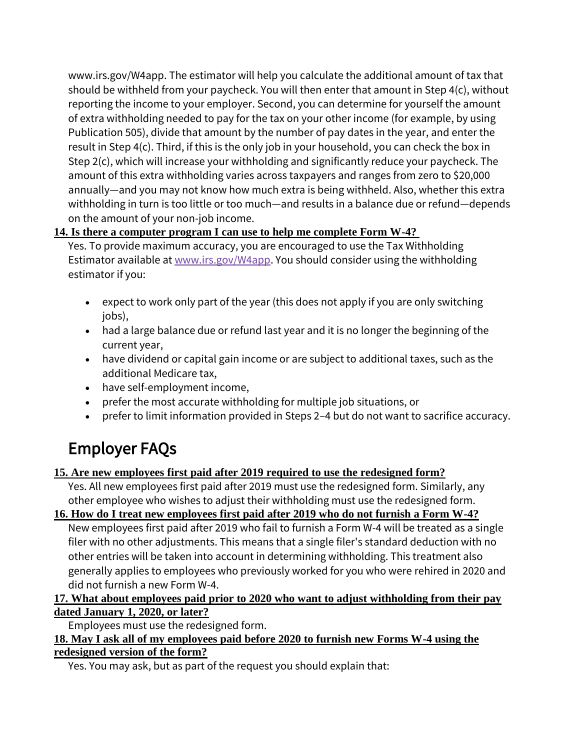www.irs.gov/W4app. The estimator will help you calculate the additional amount of tax that should be withheld from your paycheck. You will then enter that amount in Step 4(c), without reporting the income to your employer. Second, you can determine for yourself the amount of extra withholding needed to pay for the tax on your other income (for example, by using Publication 505), divide that amount by the number of pay dates in the year, and enter the result in Step 4(c). Third, if this is the only job in your household, you can check the box in Step 2(c), which will increase your withholding and significantly reduce your paycheck. The amount of this extra withholding varies across taxpayers and ranges from zero to \$20,000 annually—and you may not know how much extra is being withheld. Also, whether this extra withholding in turn is too little or too much—and results in a balance due or refund—depends on the amount of your non-job income.

## **[14. Is there a computer program I can use to help me complete Form W-4?](https://www.irs.gov/newsroom/faqs-on-the-2020-form-w-4#collapseCollapsible1576258062038)**

Yes. To provide maximum accuracy, you are encouraged to use the Tax Withholding Estimator available at [www.irs.gov/W4app.](https://www.irs.gov/individuals/tax-withholding-estimator) You should consider using the withholding estimator if you:

- expect to work only part of the year (this does not apply if you are only switching jobs),
- had a large balance due or refund last year and it is no longer the beginning of the current year,
- have dividend or capital gain income or are subject to additional taxes, such as the additional Medicare tax,
- have self-employment income,
- prefer the most accurate withholding for multiple job situations, or
- prefer to limit information provided in Steps 2–4 but do not want to sacrifice accuracy.

# Employer FAQs

## **[15. Are new employees first paid after 2019 required to use the redesigned form?](https://www.irs.gov/newsroom/faqs-on-the-2020-form-w-4#collapseCollapsible1576258062003)**

Yes. All new employees first paid after 2019 must use the redesigned form. Similarly, any other employee who wishes to adjust their withholding must use the redesigned form.

**[16. How do I treat new employees first paid after 2019 who do not furnish a Form W-4?](https://www.irs.gov/newsroom/faqs-on-the-2020-form-w-4#collapseCollapsible1576258061999)** New employees first paid after 2019 who fail to furnish a Form W-4 will be treated as a single filer with no other adjustments. This means that a single filer's standard deduction with no other entries will be taken into account in determining withholding. This treatment also generally applies to employees who previously worked for you who were rehired in 2020 and did not furnish a new Form W-4.

## **[17. What about employees paid prior to 2020 who want to adjust withholding from their pay](https://www.irs.gov/newsroom/faqs-on-the-2020-form-w-4#collapseCollapsible1576258061992)  [dated January 1, 2020, or later?](https://www.irs.gov/newsroom/faqs-on-the-2020-form-w-4#collapseCollapsible1576258061992)**

Employees must use the redesigned form.

#### **[18. May I ask all of my employees paid before 2020 to furnish new Forms W-4 using the](https://www.irs.gov/newsroom/faqs-on-the-2020-form-w-4#collapseCollapsible1576258061987)  [redesigned version of the form?](https://www.irs.gov/newsroom/faqs-on-the-2020-form-w-4#collapseCollapsible1576258061987)**

Yes. You may ask, but as part of the request you should explain that: